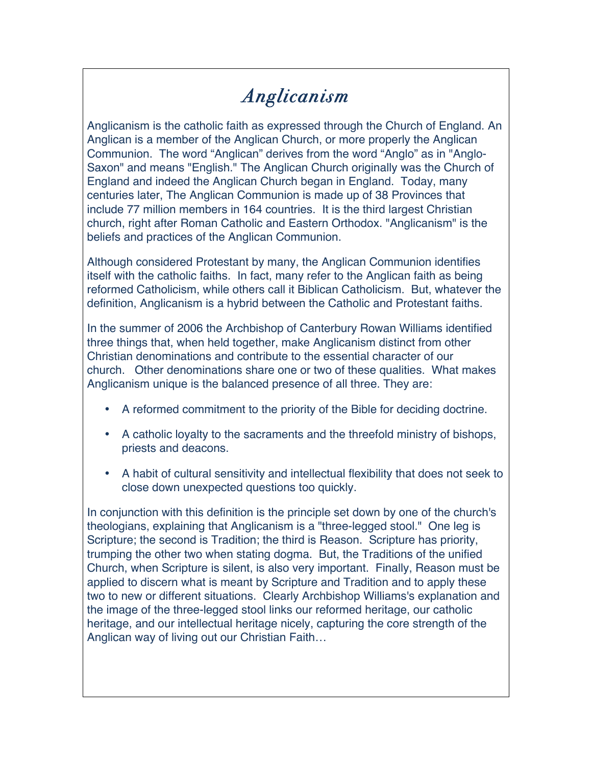## *Anglicanism*

Anglicanism is the catholic faith as expressed through the Church of England. An Anglican is a member of the Anglican Church, or more properly the Anglican Communion. The word "Anglican" derives from the word "Anglo" as in "Anglo-Saxon" and means "English." The Anglican Church originally was the Church of England and indeed the Anglican Church began in England. Today, many centuries later, The Anglican Communion is made up of 38 Provinces that include 77 million members in 164 countries. It is the third largest Christian church, right after Roman Catholic and Eastern Orthodox. "Anglicanism" is the beliefs and practices of the Anglican Communion.

Although considered Protestant by many, the Anglican Communion identifies itself with the catholic faiths. In fact, many refer to the Anglican faith as being reformed Catholicism, while others call it Biblican Catholicism. But, whatever the definition, Anglicanism is a hybrid between the Catholic and Protestant faiths.

In the summer of 2006 the Archbishop of Canterbury Rowan Williams identified three things that, when held together, make Anglicanism distinct from other Christian denominations and contribute to the essential character of our church. Other denominations share one or two of these qualities. What makes Anglicanism unique is the balanced presence of all three. They are:

- A reformed commitment to the priority of the Bible for deciding doctrine.
- A catholic loyalty to the sacraments and the threefold ministry of bishops, priests and deacons.
- A habit of cultural sensitivity and intellectual flexibility that does not seek to close down unexpected questions too quickly.

In conjunction with this definition is the principle set down by one of the church's theologians, explaining that Anglicanism is a "three-legged stool." One leg is Scripture; the second is Tradition; the third is Reason. Scripture has priority, trumping the other two when stating dogma. But, the Traditions of the unified Church, when Scripture is silent, is also very important. Finally, Reason must be applied to discern what is meant by Scripture and Tradition and to apply these two to new or different situations. Clearly Archbishop Williams's explanation and the image of the three-legged stool links our reformed heritage, our catholic heritage, and our intellectual heritage nicely, capturing the core strength of the Anglican way of living out our Christian Faith…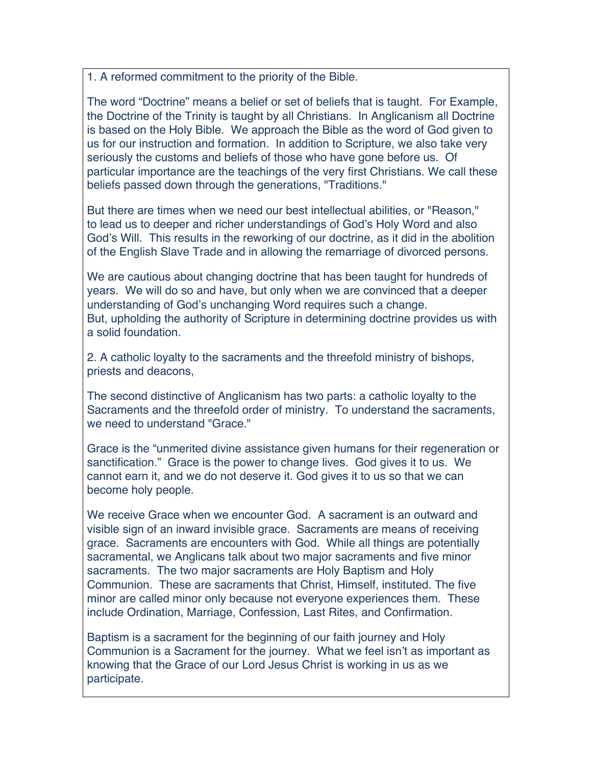1. A reformed commitment to the priority of the Bible.

The word "Doctrine" means a belief or set of beliefs that is taught. For Example, the Doctrine of the Trinity is taught by all Christians. In Anglicanism all Doctrine is based on the Holy Bible. We approach the Bible as the word of God given to us for our instruction and formation. In addition to Scripture, we also take very seriously the customs and beliefs of those who have gone before us. Of particular importance are the teachings of the very first Christians. We call these beliefs passed down through the generations, "Traditions."

But there are times when we need our best intellectual abilities, or "Reason," to lead us to deeper and richer understandings of God's Holy Word and also God's Will. This results in the reworking of our doctrine, as it did in the abolition of the English Slave Trade and in allowing the remarriage of divorced persons.

We are cautious about changing doctrine that has been taught for hundreds of years. We will do so and have, but only when we are convinced that a deeper understanding of God's unchanging Word requires such a change. But, upholding the authority of Scripture in determining doctrine provides us with a solid foundation.

2. A catholic loyalty to the sacraments and the threefold ministry of bishops, priests and deacons,

The second distinctive of Anglicanism has two parts: a catholic loyalty to the Sacraments and the threefold order of ministry. To understand the sacraments, we need to understand "Grace."

Grace is the "unmerited divine assistance given humans for their regeneration or sanctification." Grace is the power to change lives. God gives it to us. We cannot earn it, and we do not deserve it. God gives it to us so that we can become holy people.

We receive Grace when we encounter God. A sacrament is an outward and visible sign of an inward invisible grace. Sacraments are means of receiving grace. Sacraments are encounters with God. While all things are potentially sacramental, we Anglicans talk about two major sacraments and five minor sacraments. The two major sacraments are Holy Baptism and Holy Communion. These are sacraments that Christ, Himself, instituted. The five minor are called minor only because not everyone experiences them. These include Ordination, Marriage, Confession, Last Rites, and Confirmation.

Baptism is a sacrament for the beginning of our faith journey and Holy Communion is a Sacrament for the journey. What we feel isn't as important as knowing that the Grace of our Lord Jesus Christ is working in us as we participate.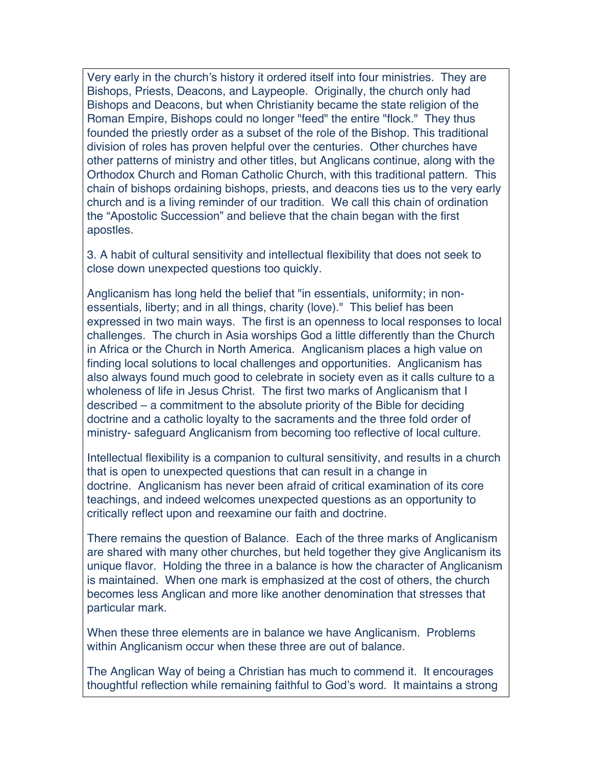Very early in the church's history it ordered itself into four ministries. They are Bishops, Priests, Deacons, and Laypeople. Originally, the church only had Bishops and Deacons, but when Christianity became the state religion of the Roman Empire, Bishops could no longer "feed" the entire "flock." They thus founded the priestly order as a subset of the role of the Bishop. This traditional division of roles has proven helpful over the centuries. Other churches have other patterns of ministry and other titles, but Anglicans continue, along with the Orthodox Church and Roman Catholic Church, with this traditional pattern. This chain of bishops ordaining bishops, priests, and deacons ties us to the very early church and is a living reminder of our tradition. We call this chain of ordination the "Apostolic Succession" and believe that the chain began with the first apostles.

3. A habit of cultural sensitivity and intellectual flexibility that does not seek to close down unexpected questions too quickly.

Anglicanism has long held the belief that "in essentials, uniformity; in nonessentials, liberty; and in all things, charity (love)." This belief has been expressed in two main ways. The first is an openness to local responses to local challenges. The church in Asia worships God a little differently than the Church in Africa or the Church in North America. Anglicanism places a high value on finding local solutions to local challenges and opportunities. Anglicanism has also always found much good to celebrate in society even as it calls culture to a wholeness of life in Jesus Christ. The first two marks of Anglicanism that I described – a commitment to the absolute priority of the Bible for deciding doctrine and a catholic loyalty to the sacraments and the three fold order of ministry- safeguard Anglicanism from becoming too reflective of local culture.

Intellectual flexibility is a companion to cultural sensitivity, and results in a church that is open to unexpected questions that can result in a change in doctrine. Anglicanism has never been afraid of critical examination of its core teachings, and indeed welcomes unexpected questions as an opportunity to critically reflect upon and reexamine our faith and doctrine.

There remains the question of Balance. Each of the three marks of Anglicanism are shared with many other churches, but held together they give Anglicanism its unique flavor. Holding the three in a balance is how the character of Anglicanism is maintained. When one mark is emphasized at the cost of others, the church becomes less Anglican and more like another denomination that stresses that particular mark.

When these three elements are in balance we have Anglicanism. Problems within Anglicanism occur when these three are out of balance.

The Anglican Way of being a Christian has much to commend it. It encourages thoughtful reflection while remaining faithful to God's word. It maintains a strong